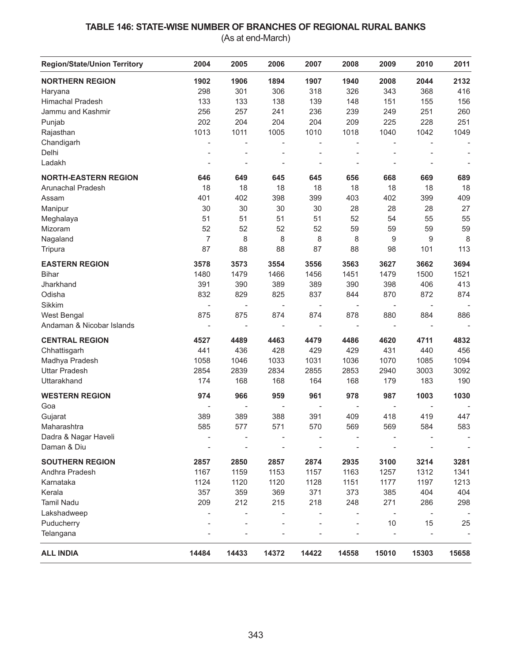## **TABLE 146: STATE-WISE NUMBER OF BRANCHES OF REGIONAL RURAL BANKS**

(As at end-March)

| <b>Region/State/Union Territory</b> | 2004                     | 2005                     | 2006                     | 2007           | 2008                     | 2009                     | 2010                     | 2011                     |
|-------------------------------------|--------------------------|--------------------------|--------------------------|----------------|--------------------------|--------------------------|--------------------------|--------------------------|
| <b>NORTHERN REGION</b>              | 1902                     | 1906                     | 1894                     | 1907           | 1940                     | 2008                     | 2044                     | 2132                     |
| Haryana                             | 298                      | 301                      | 306                      | 318            | 326                      | 343                      | 368                      | 416                      |
| <b>Himachal Pradesh</b>             | 133                      | 133                      | 138                      | 139            | 148                      | 151                      | 155                      | 156                      |
| Jammu and Kashmir                   | 256                      | 257                      | 241                      | 236            | 239                      | 249                      | 251                      | 260                      |
| Punjab                              | 202                      | 204                      | 204                      | 204            | 209                      | 225                      | 228                      | 251                      |
| Rajasthan                           | 1013                     | 1011                     | 1005                     | 1010           | 1018                     | 1040                     | 1042                     | 1049                     |
| Chandigarh                          |                          |                          |                          |                | $\overline{\phantom{0}}$ |                          |                          |                          |
| Delhi                               |                          |                          |                          |                | $\overline{a}$           |                          |                          |                          |
| Ladakh                              | $\overline{\phantom{a}}$ | $\overline{a}$           |                          |                | -                        |                          |                          | $\overline{a}$           |
| <b>NORTH-EASTERN REGION</b>         | 646                      | 649                      | 645                      | 645            | 656                      | 668                      | 669                      | 689                      |
| Arunachal Pradesh                   | 18                       | 18                       | 18                       | 18             | 18                       | 18                       | 18                       | 18                       |
| Assam                               | 401                      | 402                      | 398                      | 399            | 403                      | 402                      | 399                      | 409                      |
| Manipur                             | 30                       | 30                       | 30                       | 30             | 28                       | 28                       | 28                       | 27                       |
| Meghalaya                           | 51                       | 51                       | 51                       | 51             | 52                       | 54                       | 55                       | 55                       |
| Mizoram                             | 52                       | 52                       | 52                       | 52             | 59                       | 59                       | 59                       | 59                       |
| Nagaland                            | 7                        | 8                        | 8                        | 8              | 8                        | 9                        | 9                        | 8                        |
| Tripura                             | 87                       | 88                       | 88                       | 87             | 88                       | 98                       | 101                      | 113                      |
| <b>EASTERN REGION</b>               | 3578                     | 3573                     | 3554                     | 3556           | 3563                     | 3627                     | 3662                     | 3694                     |
| <b>Bihar</b>                        | 1480                     | 1479                     | 1466                     | 1456           | 1451                     | 1479                     | 1500                     | 1521                     |
| Jharkhand                           | 391                      | 390                      | 389                      | 389            | 390                      | 398                      | 406                      | 413                      |
| Odisha                              | 832                      | 829                      | 825                      | 837            | 844                      | 870                      | 872                      | 874                      |
| Sikkim                              |                          |                          | $\overline{\phantom{m}}$ |                | $\qquad \qquad -$        |                          |                          |                          |
| West Bengal                         | 875                      | 875                      | 874                      | 874            | 878                      | 880                      | 884                      | 886                      |
| Andaman & Nicobar Islands           | $\overline{\phantom{a}}$ | $\overline{\phantom{a}}$ | $\blacksquare$           | ÷,             | $\bar{\phantom{a}}$      | $\bar{\phantom{a}}$      |                          | $\overline{\phantom{a}}$ |
| <b>CENTRAL REGION</b>               | 4527                     | 4489                     | 4463                     | 4479           | 4486                     | 4620                     | 4711                     | 4832                     |
| Chhattisgarh                        | 441                      | 436                      | 428                      | 429            | 429                      | 431                      | 440                      | 456                      |
| Madhya Pradesh                      | 1058                     | 1046                     | 1033                     | 1031           | 1036                     | 1070                     | 1085                     | 1094                     |
| <b>Uttar Pradesh</b>                | 2854                     | 2839                     | 2834                     | 2855           | 2853                     | 2940                     | 3003                     | 3092                     |
| Uttarakhand                         | 174                      | 168                      | 168                      | 164            | 168                      | 179                      | 183                      | 190                      |
| <b>WESTERN REGION</b>               | 974                      | 966                      | 959                      | 961            | 978                      | 987                      | 1003                     | 1030                     |
| Goa                                 | $\overline{a}$           | $\overline{\phantom{a}}$ | $\overline{\phantom{a}}$ | $\overline{a}$ | $\overline{\phantom{a}}$ | $\overline{\phantom{a}}$ | $\overline{\phantom{m}}$ |                          |
| Gujarat                             | 389                      | 389                      | 388                      | 391            | 409                      | 418                      | 419                      | 447                      |
| Maharashtra                         | 585                      | 577                      | 571                      | 570            | 569                      | 569                      | 584                      | 583                      |
| Dadra & Nagar Haveli                |                          |                          |                          |                |                          |                          |                          |                          |
| Daman & Diu                         |                          |                          |                          |                |                          |                          |                          |                          |
| <b>SOUTHERN REGION</b>              | 2857                     | 2850                     | 2857                     | 2874           | 2935                     | 3100                     | 3214                     | 3281                     |
| Andhra Pradesh                      | 1167                     | 1159                     | 1153                     | 1157           | 1163                     | 1257                     | 1312                     | 1341                     |
| Karnataka                           | 1124                     | 1120                     | 1120                     | 1128           | 1151                     | 1177                     | 1197                     | 1213                     |
| Kerala                              | 357                      | 359                      | 369                      | 371            | 373                      | 385                      | 404                      | 404                      |
| <b>Tamil Nadu</b>                   | 209                      | 212                      | 215                      | 218            | 248                      | 271                      | 286                      | 298                      |
| Lakshadweep                         |                          |                          |                          |                |                          |                          |                          |                          |
| Puducherry                          |                          |                          |                          |                | L,                       | 10                       | 15                       | 25                       |
| Telangana                           |                          |                          |                          |                |                          |                          |                          |                          |
| <b>ALL INDIA</b>                    | 14484                    | 14433                    | 14372                    | 14422          | 14558                    | 15010                    | 15303                    | 15658                    |